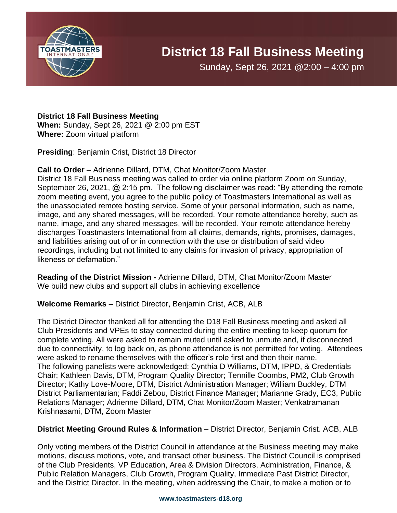

# **District 18 Fall Business Meeting**

Sunday, Sept 26, 2021 @2:00 – 4:00 pm

## **District 18 Fall Business Meeting**

**When:** Sunday, Sept 26, 2021 @ 2:00 pm EST **Where:** Zoom virtual platform

**Presiding**: Benjamin Crist, District 18 Director

## **Call to Order** – Adrienne Dillard, DTM, Chat Monitor/Zoom Master

District 18 Fall Business meeting was called to order via online platform Zoom on Sunday, September 26, 2021, @ 2:15 pm. The following disclaimer was read: "By attending the remote zoom meeting event, you agree to the public policy of Toastmasters International as well as the unassociated remote hosting service. Some of your personal information, such as name, image, and any shared messages, will be recorded. Your remote attendance hereby, such as name, image, and any shared messages, will be recorded. Your remote attendance hereby discharges Toastmasters International from all claims, demands, rights, promises, damages, and liabilities arising out of or in connection with the use or distribution of said video recordings, including but not limited to any claims for invasion of privacy, appropriation of likeness or defamation."

**Reading of the District Mission -** Adrienne Dillard, DTM, Chat Monitor/Zoom Master We build new clubs and support all clubs in achieving excellence

# **Welcome Remarks** – District Director, Benjamin Crist, ACB, ALB

The District Director thanked all for attending the D18 Fall Business meeting and asked all Club Presidents and VPEs to stay connected during the entire meeting to keep quorum for complete voting. All were asked to remain muted until asked to unmute and, if disconnected due to connectivity, to log back on, as phone attendance is not permitted for voting. Attendees were asked to rename themselves with the officer's role first and then their name. The following panelists were acknowledged: Cynthia D Williams, DTM, IPPD, & Credentials Chair; Kathleen Davis, DTM, Program Quality Director; Tennille Coombs, PM2, Club Growth Director; Kathy Love-Moore, DTM, District Administration Manager; William Buckley, DTM District Parliamentarian; Faddi Zebou, District Finance Manager; Marianne Grady, EC3, Public Relations Manager; Adrienne Dillard, DTM, Chat Monitor/Zoom Master; Venkatramanan Krishnasami, DTM, Zoom Master

#### **District Meeting Ground Rules & Information** – District Director, Benjamin Crist. ACB, ALB

Only voting members of the District Council in attendance at the Business meeting may make motions, discuss motions, vote, and transact other business. The District Council is comprised of the Club Presidents, VP Education, Area & Division Directors, Administration, Finance, & Public Relation Managers, Club Growth, Program Quality, Immediate Past District Director, and the District Director. In the meeting, when addressing the Chair, to make a motion or to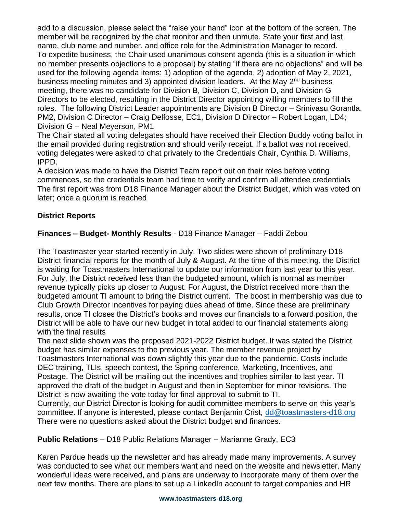add to a discussion, please select the "raise your hand" icon at the bottom of the screen. The member will be recognized by the chat monitor and then unmute. State your first and last name, club name and number, and office role for the Administration Manager to record. To expedite business, the Chair used unanimous consent agenda (this is a situation in which no member presents objections to a proposal) by stating "if there are no objections" and will be used for the following agenda items: 1) adoption of the agenda, 2) adoption of May 2, 2021, business meeting minutes and 3) appointed division leaders. At the May 2<sup>nd</sup> business meeting, there was no candidate for Division B, Division C, Division D, and Division G Directors to be elected, resulting in the District Director appointing willing members to fill the roles. The following District Leader appointments are Division B Director – Srinivasu Gorantla, PM2, Division C Director – Craig Delfosse, EC1, Division D Director – Robert Logan, LD4; Division G – Neal Meyerson, PM1

The Chair stated all voting delegates should have received their Election Buddy voting ballot in the email provided during registration and should verify receipt. If a ballot was not received, voting delegates were asked to chat privately to the Credentials Chair, Cynthia D. Williams, IPPD.

A decision was made to have the District Team report out on their roles before voting commences, so the credentials team had time to verify and confirm all attendee credentials The first report was from D18 Finance Manager about the District Budget, which was voted on later; once a quorum is reached

# **District Reports**

# **Finances – Budget- Monthly Results** - D18 Finance Manager – Faddi Zebou

The Toastmaster year started recently in July. Two slides were shown of preliminary D18 District financial reports for the month of July & August. At the time of this meeting, the District is waiting for Toastmasters International to update our information from last year to this year. For July, the District received less than the budgeted amount, which is normal as member revenue typically picks up closer to August. For August, the District received more than the budgeted amount TI amount to bring the District current. The boost in membership was due to Club Growth Director incentives for paying dues ahead of time. Since these are preliminary results, once TI closes the District's books and moves our financials to a forward position, the District will be able to have our new budget in total added to our financial statements along with the final results

The next slide shown was the proposed 2021-2022 District budget. It was stated the District budget has similar expenses to the previous year. The member revenue project by Toastmasters International was down slightly this year due to the pandemic. Costs include DEC training, TLIs, speech contest, the Spring conference, Marketing, Incentives, and Postage. The District will be mailing out the incentives and trophies similar to last year. TI approved the draft of the budget in August and then in September for minor revisions. The District is now awaiting the vote today for final approval to submit to TI.

Currently, our District Director is looking for audit committee members to serve on this year's committee. If anyone is interested, please contact Benjamin Crist, [dd@toastmasters-d18.org](mailto:dd@toastmasters-d18.org) There were no questions asked about the District budget and finances.

**Public Relations** – D18 Public Relations Manager – Marianne Grady, EC3

Karen Pardue heads up the newsletter and has already made many improvements. A survey was conducted to see what our members want and need on the website and newsletter. Many wonderful ideas were received, and plans are underway to incorporate many of them over the next few months. There are plans to set up a LinkedIn account to target companies and HR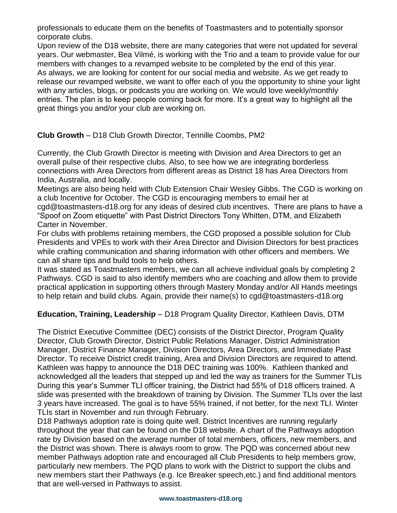professionals to educate them on the benefits of Toastmasters and to potentially sponsor corporate clubs.

Upon review of the D18 website, there are many categories that were not updated for several years. Our webmaster, Bea Vilmé, is working with the Trio and a team to provide value for our members with changes to a revamped website to be completed by the end of this year. As always, we are looking for content for our social media and website. As we get ready to release our revamped website, we want to offer each of you the opportunity to shine your light with any articles, blogs, or podcasts you are working on. We would love weekly/monthly entries. The plan is to keep people coming back for more. It's a great way to highlight all the great things you and/or your club are working on.

# **Club Growth** – D18 Club Growth Director, Tennille Coombs, PM2

Currently, the Club Growth Director is meeting with Division and Area Directors to get an overall pulse of their respective clubs. Also, to see how we are integrating borderless connections with Area Directors from different areas as District 18 has Area Directors from India, Australia, and locally.

Meetings are also being held with Club Extension Chair Wesley Gibbs. The CGD is working on a club Incentive for October. The CGD is encouraging members to email her at cgd@toastmasters-d18.org for any ideas of desired club incentives. There are plans to have a "Spoof on Zoom etiquette" with Past District Directors Tony Whitten, DTM, and Elizabeth Carter in November.

For clubs with problems retaining members, the CGD proposed a possible solution for Club Presidents and VPEs to work with their Area Director and Division Directors for best practices while crafting communication and sharing information with other officers and members. We can all share tips and build tools to help others.

It was stated as Toastmasters members, we can all achieve individual goals by completing 2 Pathways. CGD is said to also identify members who are coaching and allow them to provide practical application in supporting others through Mastery Monday and/or All Hands meetings to help retain and build clubs. Again, provide their name(s) to cgd@toastmasters-d18.org

# **Education, Training, Leadership** – D18 Program Quality Director, Kathleen Davis, DTM

The District Executive Committee (DEC) consists of the District Director, Program Quality Director, Club Growth Director, District Public Relations Manager, District Administration Manager, District Finance Manager, Division Directors, Area Directors, and Immediate Past Director. To receive District credit training, Area and Division Directors are required to attend. Kathleen was happy to announce the D18 DEC training was 100%. Kathleen thanked and acknowledged all the leaders that stepped up and led the way as trainers for the Summer TLIs During this year's Summer TLI officer training, the District had 55% of D18 officers trained. A slide was presented with the breakdown of training by Division. The Summer TLIs over the last 3 years have increased. The goal is to have 55% trained, if not better, for the next TLI. Winter TLIs start in November and run through February.

D18 Pathways adoption rate is doing quite well. District Incentives are running regularly throughout the year that can be found on the D18 website. A chart of the Pathways adoption rate by Division based on the average number of total members, officers, new members, and the District was shown. There is always room to grow. The PQD was concerned about new member Pathways adoption rate and encouraged all Club Presidents to help members grow, particularly new members. The PQD plans to work with the District to support the clubs and new members start their Pathways (e.g. Ice Breaker speech,etc.) and find additional mentors that are well-versed in Pathways to assist.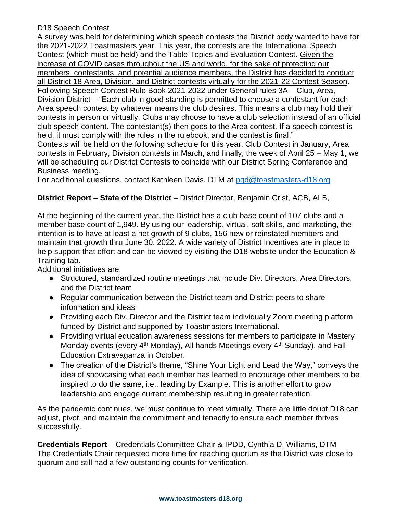# D18 Speech Contest

A survey was held for determining which speech contests the District body wanted to have for the 2021-2022 Toastmasters year. This year, the contests are the International Speech Contest (which must be held) and the Table Topics and Evaluation Contest. Given the increase of COVID cases throughout the US and world, for the sake of protecting our members, contestants, and potential audience members, the District has decided to conduct all District 18 Area, Division, and District contests virtually for the 2021-22 Contest Season. Following Speech Contest Rule Book 2021-2022 under General rules 3A – Club, Area, Division District – "Each club in good standing is permitted to choose a contestant for each Area speech contest by whatever means the club desires. This means a club may hold their contests in person or virtually. Clubs may choose to have a club selection instead of an official club speech content. The contestant(s) then goes to the Area contest. If a speech contest is held, it must comply with the rules in the rulebook, and the contest is final."

Contests will be held on the following schedule for this year. Club Contest in January, Area contests in February, Division contests in March, and finally, the week of April 25 – May 1, we will be scheduling our District Contests to coincide with our District Spring Conference and Business meeting.

For additional questions, contact Kathleen Davis, DTM at [pqd@toastmasters-d18.org](mailto:pqd@toastmasters-d18.org)

# **District Report – State of the District** – District Director, Benjamin Crist, ACB, ALB,

At the beginning of the current year, the District has a club base count of 107 clubs and a member base count of 1,949. By using our leadership, virtual, soft skills, and marketing, the intention is to have at least a net growth of 9 clubs, 156 new or reinstated members and maintain that growth thru June 30, 2022. A wide variety of District Incentives are in place to help support that effort and can be viewed by visiting the D18 website under the Education & Training tab.

Additional initiatives are:

- Structured, standardized routine meetings that include Div. Directors, Area Directors, and the District team
- Regular communication between the District team and District peers to share information and ideas
- Providing each Div. Director and the District team individually Zoom meeting platform funded by District and supported by Toastmasters International.
- Providing virtual education awareness sessions for members to participate in Mastery Monday events (every  $4<sup>th</sup>$  Monday), All hands Meetings every  $4<sup>th</sup>$  Sunday), and Fall Education Extravaganza in October.
- The creation of the District's theme, "Shine Your Light and Lead the Way," conveys the idea of showcasing what each member has learned to encourage other members to be inspired to do the same, i.e., leading by Example. This is another effort to grow leadership and engage current membership resulting in greater retention.

As the pandemic continues, we must continue to meet virtually. There are little doubt D18 can adjust, pivot, and maintain the commitment and tenacity to ensure each member thrives successfully.

**Credentials Report** – Credentials Committee Chair & IPDD, Cynthia D. Williams, DTM The Credentials Chair requested more time for reaching quorum as the District was close to quorum and still had a few outstanding counts for verification.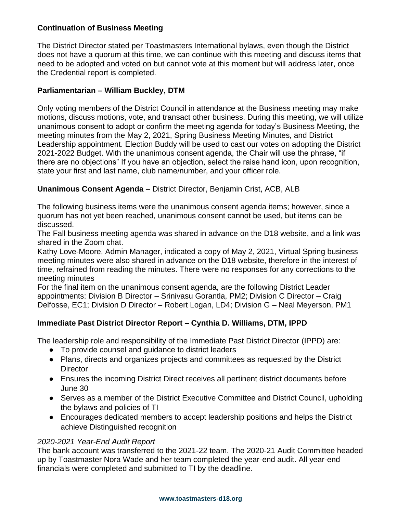## **Continuation of Business Meeting**

The District Director stated per Toastmasters International bylaws, even though the District does not have a quorum at this time, we can continue with this meeting and discuss items that need to be adopted and voted on but cannot vote at this moment but will address later, once the Credential report is completed.

## **Parliamentarian – William Buckley, DTM**

Only voting members of the District Council in attendance at the Business meeting may make motions, discuss motions, vote, and transact other business. During this meeting, we will utilize unanimous consent to adopt or confirm the meeting agenda for today's Business Meeting, the meeting minutes from the May 2, 2021, Spring Business Meeting Minutes, and District Leadership appointment. Election Buddy will be used to cast our votes on adopting the District 2021-2022 Budget. With the unanimous consent agenda, the Chair will use the phrase, "if there are no objections" If you have an objection, select the raise hand icon, upon recognition, state your first and last name, club name/number, and your officer role.

## **Unanimous Consent Agenda** – District Director, Benjamin Crist, ACB, ALB

The following business items were the unanimous consent agenda items; however, since a quorum has not yet been reached, unanimous consent cannot be used, but items can be discussed.

The Fall business meeting agenda was shared in advance on the D18 website, and a link was shared in the Zoom chat.

Kathy Love-Moore, Admin Manager, indicated a copy of May 2, 2021, Virtual Spring business meeting minutes were also shared in advance on the D18 website, therefore in the interest of time, refrained from reading the minutes. There were no responses for any corrections to the meeting minutes

For the final item on the unanimous consent agenda, are the following District Leader appointments: Division B Director – Srinivasu Gorantla, PM2; Division C Director – Craig Delfosse, EC1; Division D Director – Robert Logan, LD4; Division G – Neal Meyerson, PM1

# **Immediate Past District Director Report – Cynthia D. Williams, DTM, IPPD**

The leadership role and responsibility of the Immediate Past District Director (IPPD) are:

- To provide counsel and guidance to district leaders
- Plans, directs and organizes projects and committees as requested by the District **Director**
- Ensures the incoming District Direct receives all pertinent district documents before June 30
- Serves as a member of the District Executive Committee and District Council, upholding the bylaws and policies of TI
- Encourages dedicated members to accept leadership positions and helps the District achieve Distinguished recognition

#### *2020-2021 Year-End Audit Report*

The bank account was transferred to the 2021-22 team. The 2020-21 Audit Committee headed up by Toastmaster Nora Wade and her team completed the year-end audit. All year-end financials were completed and submitted to TI by the deadline.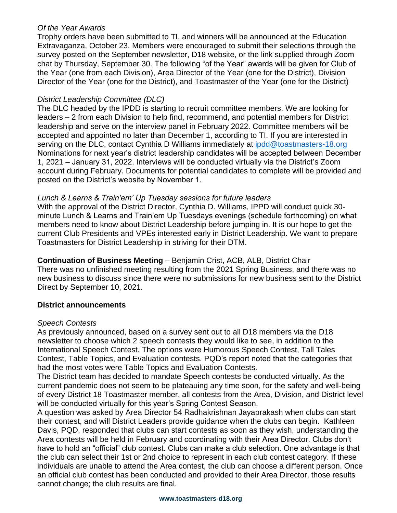#### *Of the Year Awards*

Trophy orders have been submitted to TI, and winners will be announced at the Education Extravaganza, October 23. Members were encouraged to submit their selections through the survey posted on the September newsletter, D18 website, or the link supplied through Zoom chat by Thursday, September 30. The following "of the Year" awards will be given for Club of the Year (one from each Division), Area Director of the Year (one for the District), Division Director of the Year (one for the District), and Toastmaster of the Year (one for the District)

# *District Leadership Committee (DLC)*

The DLC headed by the IPDD is starting to recruit committee members. We are looking for leaders – 2 from each Division to help find, recommend, and potential members for District leadership and serve on the interview panel in February 2022. Committee members will be accepted and appointed no later than December 1, according to TI. If you are interested in serving on the DLC, contact Cynthia D Williams immediately at [ipdd@toastmasters-18.org](mailto:ipdd@toastmasters-18.org) Nominations for next year's district leadership candidates will be accepted between December 1, 2021 – January 31, 2022. Interviews will be conducted virtually via the District's Zoom account during February. Documents for potential candidates to complete will be provided and posted on the District's website by November 1.

## *Lunch & Learns & Train'em' Up Tuesday sessions for future leaders*

With the approval of the District Director, Cynthia D. Williams, IPPD will conduct quick 30 minute Lunch & Learns and Train'em Up Tuesdays evenings (schedule forthcoming) on what members need to know about District Leadership before jumping in. It is our hope to get the current Club Presidents and VPEs interested early in District Leadership. We want to prepare Toastmasters for District Leadership in striving for their DTM.

**Continuation of Business Meeting** – Benjamin Crist, ACB, ALB, District Chair There was no unfinished meeting resulting from the 2021 Spring Business, and there was no new business to discuss since there were no submissions for new business sent to the District Direct by September 10, 2021.

#### **District announcements**

#### *Speech Contests*

As previously announced, based on a survey sent out to all D18 members via the D18 newsletter to choose which 2 speech contests they would like to see, in addition to the International Speech Contest. The options were Humorous Speech Contest, Tall Tales Contest, Table Topics, and Evaluation contests. PQD's report noted that the categories that had the most votes were Table Topics and Evaluation Contests.

The District team has decided to mandate Speech contests be conducted virtually. As the current pandemic does not seem to be plateauing any time soon, for the safety and well-being of every District 18 Toastmaster member, all contests from the Area, Division, and District level will be conducted virtually for this year's Spring Contest Season.

A question was asked by Area Director 54 Radhakrishnan Jayaprakash when clubs can start their contest, and will District Leaders provide guidance when the clubs can begin. Kathleen Davis, PQD, responded that clubs can start contests as soon as they wish, understanding the Area contests will be held in February and coordinating with their Area Director. Clubs don't have to hold an "official" club contest. Clubs can make a club selection. One advantage is that the club can select their 1st or 2nd choice to represent in each club contest category. If these individuals are unable to attend the Area contest, the club can choose a different person. Once an official club contest has been conducted and provided to their Area Director, those results cannot change; the club results are final.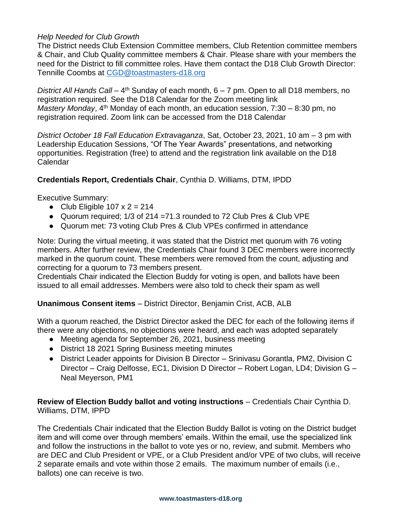## *Help Needed for Club Growth*

The District needs Club Extension Committee members, Club Retention committee members & Chair, and Club Quality committee members & Chair. Please share with your members the need for the District to fill committee roles. Have them contact the D18 Club Growth Director: Tennille Coombs at [CGD@toastmasters-d18.org](mailto:CGD@toastmasters-d18.org)

District All Hands Call – 4<sup>th</sup> Sunday of each month, 6 – 7 pm. Open to all D18 members, no registration required. See the D18 Calendar for the Zoom meeting link *Mastery Monday*, 4<sup>th</sup> Monday of each month, an education session, 7:30 – 8:30 pm, no registration required. Zoom link can be accessed from the D18 Calendar

*District October 18 Fall Education Extravaganza*, Sat, October 23, 2021, 10 am – 3 pm with Leadership Education Sessions, "Of The Year Awards" presentations, and networking opportunities. Registration (free) to attend and the registration link available on the D18 Calendar

## **Credentials Report, Credentials Chair**, Cynthia D. Williams, DTM, IPDD

Executive Summary:

- Club Eligible  $107 \times 2 = 214$
- Quorum required; 1/3 of 214 =71.3 rounded to 72 Club Pres & Club VPE
- Quorum met: 73 voting Club Pres & Club VPEs confirmed in attendance

Note: During the virtual meeting, it was stated that the District met quorum with 76 voting members. After further review, the Credentials Chair found 3 DEC members were incorrectly marked in the quorum count. These members were removed from the count, adjusting and correcting for a quorum to 73 members present.

Credentials Chair indicated the Election Buddy for voting is open, and ballots have been issued to all email addresses. Members were also told to check their spam as well

#### **Unanimous Consent items** – District Director, Benjamin Crist, ACB, ALB

With a quorum reached, the District Director asked the DEC for each of the following items if there were any objections, no objections were heard, and each was adopted separately

- Meeting agenda for September 26, 2021, business meeting
- District 18 2021 Spring Business meeting minutes
- District Leader appoints for Division B Director Srinivasu Gorantla, PM2, Division C Director – Craig Delfosse, EC1, Division D Director – Robert Logan, LD4; Division G – Neal Meyerson, PM1

**Review of Election Buddy ballot and voting instructions** – Credentials Chair Cynthia D. Williams, DTM, IPPD

The Credentials Chair indicated that the Election Buddy Ballot is voting on the District budget item and will come over through members' emails. Within the email, use the specialized link and follow the instructions in the ballot to vote yes or no, review, and submit. Members who are DEC and Club President or VPE, or a Club President and/or VPE of two clubs, will receive 2 separate emails and vote within those 2 emails. The maximum number of emails (i.e., ballots) one can receive is two.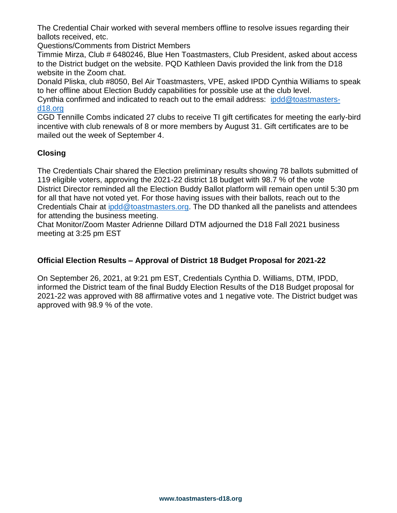The Credential Chair worked with several members offline to resolve issues regarding their ballots received, etc.

Questions/Comments from District Members

Timmie Mirza, Club # 6480246, Blue Hen Toastmasters, Club President, asked about access to the District budget on the website. PQD Kathleen Davis provided the link from the D18 website in the Zoom chat.

Donald Pliska, club #8050, Bel Air Toastmasters, VPE, asked IPDD Cynthia Williams to speak to her offline about Election Buddy capabilities for possible use at the club level.

Cynthia confirmed and indicated to reach out to the email address: [ipdd@toastmasters](mailto:ipdd@toastmasters-d18.org)[d18.org](mailto:ipdd@toastmasters-d18.org)

CGD Tennille Combs indicated 27 clubs to receive TI gift certificates for meeting the early-bird incentive with club renewals of 8 or more members by August 31. Gift certificates are to be mailed out the week of September 4.

## **Closing**

The Credentials Chair shared the Election preliminary results showing 78 ballots submitted of 119 eligible voters, approving the 2021-22 district 18 budget with 98.7 % of the vote District Director reminded all the Election Buddy Ballot platform will remain open until 5:30 pm for all that have not voted yet. For those having issues with their ballots, reach out to the Credentials Chair at [ipdd@toastmasters.org.](mailto:ipdd@toastmasters.org) The DD thanked all the panelists and attendees for attending the business meeting.

Chat Monitor/Zoom Master Adrienne Dillard DTM adjourned the D18 Fall 2021 business meeting at 3:25 pm EST

#### **Official Election Results – Approval of District 18 Budget Proposal for 2021-22**

On September 26, 2021, at 9:21 pm EST, Credentials Cynthia D. Williams, DTM, IPDD, informed the District team of the final Buddy Election Results of the D18 Budget proposal for 2021-22 was approved with 88 affirmative votes and 1 negative vote. The District budget was approved with 98.9 % of the vote.